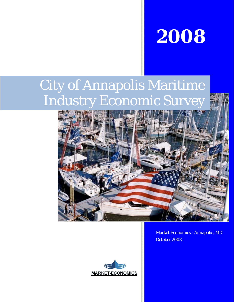

# City of Annapolis Maritime Industry Economic Survey





Market Economics - Annapolis, MD October 2008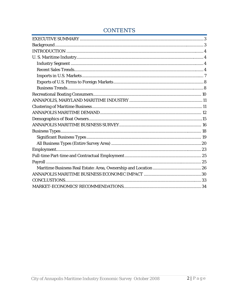# **CONTENTS**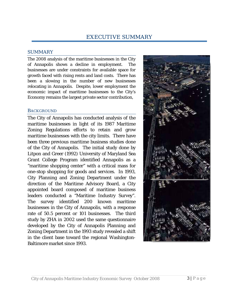### SUMMARY

The 2008 analysis of the maritime businesses in the City of Annapolis shows a decline in employment. The businesses are under constraints for available space for growth faced with rising rents and land costs. There has been a slowing in the number of new businesses relocating in Annapolis. Despite, lower employment the economic impact of maritime businesses to the City's Economy remains the largest private sector contribution,

### **BACKGROUND**

The City of Annapolis has conducted analysis of the maritime businesses in light of its 1987 Maritime Zoning Regulations efforts to retain and grow maritime businesses with the city limits. There have been three previous maritime business studies done of the City of Annapolis. The initial study done by Litpon and Greer (1992) University of Maryland Sea Grant College Program identified Annapolis as a "maritime shopping center" with a critical mass for one-stop shopping for goods and services. In 1993, City Planning and Zoning Department under the direction of the Maritime Advisory Board, a City appointed board composed of maritime business leaders conducted a "Maritime Industry Survey". The survey identified 200 known maritime businesses in the City of Annapolis, with a response rate of 50.5 percent or 101 businesses. The third study by ZHA in 2002 used the same questionnaire developed by the City of Annapolis Planning and Zoning Department in the 1993 study revealed a shift in the client base toward the regional Washington-Baltimore market since 1993.

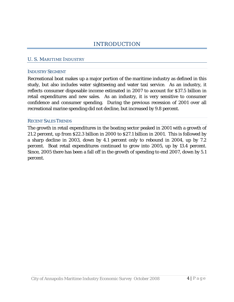### U. S. MARITIME INDUSTRY

### INDUSTRY SEGMENT

Recreational boat makes up a major portion of the maritime industry as defined in this study, but also includes water sightseeing and water taxi service. As an industry, it reflects consumer disposable income estimated in 2007 to account for \$37.5 billion in retail expenditures and new sales. As an industry, it is very sensitive to consumer confidence and consumer spending. During the previous recession of 2001 over all recreational marine spending did not decline, but increased by 9.8 percent.

### RECENT SALES TRENDS

The growth in retail expenditures in the boating sector peaked in 2001 with a growth of 21.2 percent, up from \$22.3 billion in 2000 to \$27.1 billion in 2001. This is followed by a sharp decline in 2003, down by 4.1 percent only to rebound in 2004, up by 7.2 percent. Boat retail expenditures continued to grow into 2005, up by 13.4 percent. Since, 2005 there has been a fall off in the growth of spending to end 2007, down by 5.1 percent.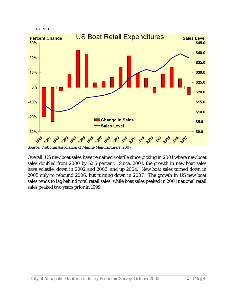



Source: National Association of Marine Manufacturers, 2007

Overall, US new boat sales have remained volatile since picking in 2001 where new boat sales doubled from 2000 by 52.6 percent. Since, 2001, the growth in new boat sales have volatile, down in 2002 and 2003, and up 2004. New boat sales turned down in 2005 only to rebound 2006, but turning down in 2007. The growth in US new boat sales tends to lag behind total retail sales, while boat sales peaked in 2001 national retail sales peaked two years prior in 1999.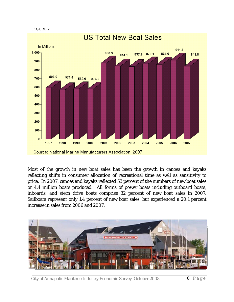

Most of the growth in new boat sales has been the growth in canoes and kayaks reflecting shifts in consumer allocation of recreational time as well as sensitivity to price. In 2007, canoes and kayaks reflected 53 percent of the numbers of new boat sales or 4.4 million boats produced. All forms of power boats including outboard boats, inboards, and stern drive boats comprise 32 percent of new boat sales in 2007. Sailboats represent only 1.4 percent of new boat sales, but experienced a 20.1 percent increase in sales from 2006 and 2007.



City of Annapolis Maritime Industry Economic Survey October 2008 6 | Page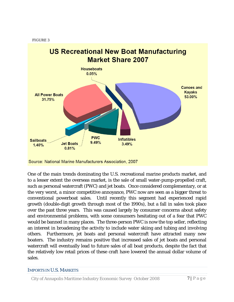

One of the main trends dominating the U.S. recreational marine products market, and to a lesser extent the overseas market, is the sale of small water-pump-propelled craft, such as personal watercraft (PWC) and jet boats. Once considered complementary, or at the very worst, a minor competitive annoyance, PWC now are seen as a bigger threat to conventional powerboat sales. Until recently this segment had experienced rapid growth (double-digit growth through most of the 1990s), but a fall in sales took place over the past three years. This was caused largely by consumer concerns about safety and environmental problems, with some consumers hesitating out of a fear that PWC would be banned in many places. The three-person PWC is now the top seller, reflecting an interest in broadening the activity to include water skiing and tubing and involving others. Furthermore, jet boats and personal watercraft have attracted many *new* boaters. The industry remains positive that increased sales of jet boats and personal watercraft will eventually lead to future sales of all boat products, despite the fact that the relatively low retail prices of these craft have lowered the annual dollar volume of sales.

### IMPORTS IN U.S. MARKETS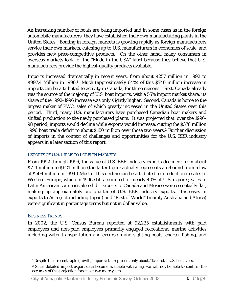An increasing number of boats are being imported and in some cases as in the foreign automobile manufacturers, they have established their own manufacturing plants in the United States. Boating in foreign markets is growing rapidly as foreign manufacturers service their own markets, catching up to U.S. manufacturers in economies of scale, and provides new price-competitive products. On the other hand, many consumers in overseas markets look for the "Made in the USA" label because they believe that U.S. manufacturers provide the highest-quality products available.

Imports increased dramatically in recent years, from about \$257 million in 1992 to \$997.4 Million in 1996.<sup>1</sup> Much (approximately 64%) of this \$740 million increase in imports can be attributed to activity in Canada, for three reasons. First, Canada already was the source of the majority of U.S. boat imports, with a 55% import market share; its share of the 1992-1996 increase was only slightly higher. Second, Canada is home to the largest maker of PWC, sales of which greatly increased in the United States over this period. Third, many U.S. manufacturers have purchased Canadian boat makers and shifted production to the newly purchased plants. It was projected that, over the 1996- 98 period, imports would decline while exports would increase, cutting the \$378 million 1996 boat trade deficit to about \$150 million over those two years.2 Further discussion of imports in the context of challenges and opportunities for the U.S. BBR industry appears in a later section of this report.

### EXPORTS OF U.S. FIRMS TO FOREIGN MARKETS

From 1992 through 1996, the value of U.S. BBR industry exports declined; from about \$714 million to \$621 million (the latter figure actually represents a rebound from a low of \$504 million in 1994.) Most of this decline can be attributed to a reduction in sales to Western Europe, which in 1996 still accounted for nearly 40% of U.S. exports; sales to Latin American countries also slid. Exports to Canada and Mexico were essentially flat, making up approximately one-quarter of U.S. BBR industry exports. Increases in exports to Asia (not including Japan) and "Rest of World" (mainly Australia and Africa) were significant in percentage terms but not in dollar value.

### BUSINESS TRENDS

 $\overline{a}$ 

In 2002, the U.S. Census Bureau reported at 92,235 establishments with paid employees and non-paid employees primarily engaged recreational marine activities including water transportation and excursion and sighting boats, charter fishing, and

<sup>&</sup>lt;sup>1</sup> Despite their recent rapid growth, imports still represent only about 5% of total U.S. boat sales.

<sup>2</sup> Since detailed import-export data become available with a lag, we will not be able to confirm the accuracy of this projection for one or two more years.

City of Annapolis Maritime Industry Economic Survey October 2008 8 | Page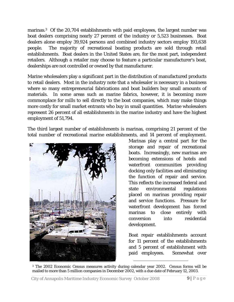marinas.<sup>3</sup> Of the 20,704 establishments with paid employees, the largest number was boat dealers comprising nearly 27 percent of the industry or 5,523 businesses. Boat dealers alone employ 39,924 persons and combined industry sectors employ 193,638 people. The majority of recreational boating products are sold through retail establishments. Boat dealers in the United States are, for the most part, independent retailers. Although a retailer may choose to feature a particular manufacturer's boat, dealerships are not controlled or owned by that manufacturer.

Marine wholesalers play a significant part in the distribution of manufactured products to retail dealers. Most in the industry note that a wholesaler is necessary in a business where so many entrepreneurial fabrications and boat builders buy small amounts of materials. In some areas such as marine fabrics, however, it is becoming more commonplace for mills to sell directly to the boat companies, which may make things more costly for small market entrants who buy in small quantities. Marine wholesalers represent 26 percent of all establishments in the marine industry and have the highest employment of 51,794.

The third largest number of establishments is marinas, comprising 21 percent of the total number of recreational marine establishments, and 14 percent of employment.



Marinas play a central part for the storage and repair of recreational boats. Increasingly, new marinas are becoming extensions of hotels and waterfront communities providing docking only facilities and eliminating the function of repair and service. This reflects the increased federal and state environmental regulations placed on marinas providing repair and service functions. Pressure for waterfront development has forced marinas to close entirely with conversion into residential development.

Boat repair establishments account for 11 percent of the establishments and 5 percent of establishment with paid employees. Somewhat over

l

<sup>3</sup> The 2002 Economic Census measures activity during calendar year 2002. Census forms will be mailed to more than 5 million companies in December 2002, with a due date of February 12, 2003.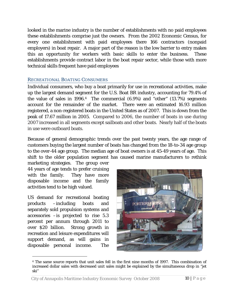looked in the marine industry is the number of establishments with no paid employees these establishments comprise just the owners. From the 2002 Economic Census, for every one establishment with paid employees there 166 contractors (nonpaid employers) in boat repair. A major part of the reason is the low barrier to entry makes this an opportunity for workers with basic skills to enter the business. These establishments provide contract labor in the boat repair sector, while those with more technical skills frequent have paid employees

## RECREATIONAL BOATING CONSUMERS

Individual consumers, who buy a boat primarily for use in recreational activities, make up the largest demand segment for the U.S. Boat BR industry, accounting for 79.4% of the value of sales in  $1996<sup>4</sup>$ . The commercial  $(6.9%)$  and "other"  $(13.7%)$  segments account for the remainder of the market. There were an estimated 16.93 million registered, a non-registered boats in the United States as of 2007. This is down from the peak of 17.67 million in 2005. Compared to 2006, the number of boats in use during 2007 increased in all segments except sailboats and other boats. Nearly half of the boats in use were outboard boats.

Because of general demographic trends over the past twenty years, the age range of customers buying the largest number of boats has changed from the 18-to-34 age group to the over-44 age group. The median age of boat owners is at 45-49 years of age. This shift to the older population segment has caused marine manufacturers to rethink

marketing strategies. The group over 44 years of age tends to prefer cruising with the family. They have more disposable income and the family activities tend to be high valued.

US demand for recreational boating products –including boats and separately sold propulsion systems and accessories –is projected to rise 5.3 percent per annum through 2011 to over \$20 billion. Strong growth in recreation and leisure expenditures will support demand, as will gains in disposable personal income. The

 $\overline{a}$ 



<sup>4</sup> The same source reports that *unit* sales fell in the first nine months of 1997. This combination of increased dollar sales with decreased unit sales might be explained by the simultaneous drop in "jet ski"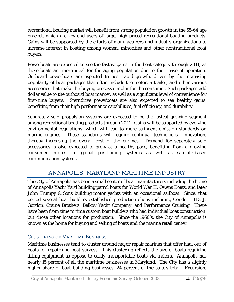recreational boating market will benefit from strong population growth in the 55-64 age bracket, which are key end users of large, high-priced recreational boating products. Gains will be supported by the efforts of manufacturers and industry organizations to increase interest in boating among women, minorities and other nontraditional boat buyers.

Powerboats are expected to see the fastest gains in the boat category through 2011, as these boats are more ideal for the aging population due to their ease of operation. Outboard powerboats are expected to post rapid growth, driven by the increasing popularity of boat packages that often include the motor, a trailer, and other various accessories that make the buying process simpler for the consumer. Such packages add dollar value to the outboard boat market, as well as a significant level of convenience for first-time buyers. Sterndrive powerboats are also expected to see healthy gains, benefiting from their high performance capabilities, fuel efficiency, and durability.

Separately sold propulsion systems are expected to be the fastest growing segment among recreational boating products through 2011. Gains will be supported by evolving environmental regulations, which will lead to more stringent emission standards on marine engines. These standards will require continual technological innovation, thereby increasing the overall cost of the engines. Demand for separately sold accessories is also expected to grow at a healthy pace, benefiting from a growing consumer interest in global positioning systems as well as satellite-based communication systems.

# ANNAPOLIS, MARYLAND MARITIME INDUSTRY

The City of Annapolis has been a small center of boat manufacturers including the home of Annapolis Yacht Yard building patrol boats for World War II, Owens Boats, and later John Trumpy & Sons building motor yachts with an occasional sailboat. Since, that period several boat builders established production shops including Condor LTD, J. Gordon, Craine Brothers, Belkov Yacht Company, and Performance Cruising. There have been from time to time custom boat builders who had individual boat construction, but chose other locations for production. Since the 1960's, the City of Annapolis is known as the home for buying and selling of boats and the marine retail center.

# CLUSTERING OF MARITIME BUSINESS

Maritime businesses tend to cluster around major repair marinas that offer haul out of boats for repair and boat surveys. This clustering reflects the size of boats requiring lifting equipment as oppose to easily transportable boats via trailers. Annapolis has nearly 15 percent of all the maritime businesses in Maryland. The City has a slightly higher share of boat building businesses, 24 percent of the state's total. Excursion,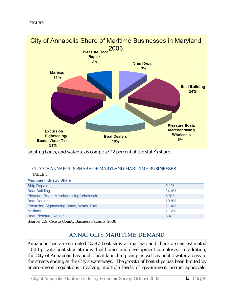

sighting boats, and water taxis comprise 22 percent of the state's share.

#### CITY OF ANNAPOLIS SHARE OF MARYLAND MARITIME BUSINESSES TABLE 1

| $9.1\%$ |
|---------|
| 24.4%   |
| 8.8%    |
| 19.8%   |
| 21.4%   |
| 11.2%   |
| 8.4%    |
|         |

Source: U.S. Census County Business Patterns, 2008

# ANNAPOLIS MARITIME DEMAND

Annapolis has an estimated 2,387 boat slips at marinas and there are an estimated 1,000 private boat slips at individual homes and development complexes. In addition, the City of Annapolis has public boat launching ramp as well as public water access to the streets ending at the City's waterways. The growth of boat slips has been limited by environment regulations involving multiple levels of government permit approvals.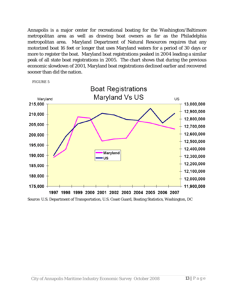Annapolis is a major center for recreational boating for the Washington/Baltimore metropolitan area as well as drawing boat owners as far as the Philadelphia metropolitan area. Maryland Department of Natural Resources requires that any motorized boat 16 feet or longer that uses Maryland waters for a period of 30 days or more to register the boat. Maryland boat registrations peaked in 2004 leading a similar peak of all state boat registrations in 2005. The chart shows that during the previous economic slowdown of 2001, Maryland boat registrations declined earlier and recovered sooner than did the nation.





Source: U.S. Department of Transportation, U.S. Coast Guard, Boating Statistics, Washington, DC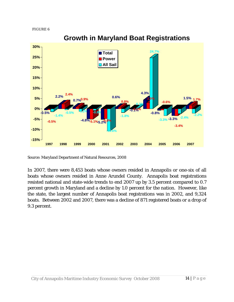

# **Growth in Maryland Boat Registrations**

Source: Maryland Department of Natural Resources, 2008

In 2007, there were 8,453 boats whose owners resided in Annapolis or one-six of all boats whose owners resided in Anne Arundel County. Annapolis boat registrations resisted national and state-wide trends to end 2007 up by 3.5 percent compared to 0.7 percent growth in Maryland and a decline by 1.0 percent for the nation. However, like the state, the largest number of Annapolis boat registrations was in 2002, and 9,324 boats. Between 2002 and 2007, there was a decline of 871 registered boats or a drop of 9.3 percent.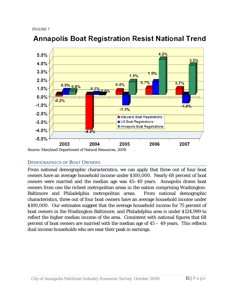

# **Annapolis Boat Registration Resist National Trend**

### DEMOGRAPHICS OF BOAT OWNERS

From national demographic characteristics, we can apply that three out of four boat owners have an average household income under \$100,000. Nearly 68 percent of boat owners were married and the median age was 45–49 years. Annapolis draws boat owners from one the richest metropolitan areas in the nation comprising Washington-Baltimore and Philadelphia metropolitan areas. From national demographic characteristics, three out of four boat owners have an average household income under \$100,000. Our estimates suggest that the average household income for 75 percent of boat owners in the Washington-Baltimore, and Philadelphia area is under \$124,999 to reflect the higher median income of the area. Consistent with national figures that 68 percent of boat owners are married with the median age of  $45 - 49$  years. This reflects dual income households who are near their peak in earnings.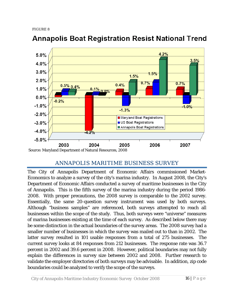

# **Annapolis Boat Registration Resist National Trend**

# ANNAPOLIS MARITIME BUSINESS SURVEY

The City of Annapolis Department of Economic Affairs commissioned Market-Economics to analyze a survey of the city's marina industry. In August 2008, the City's Department of Economic Affairs conducted a survey of maritime businesses in the City of Annapolis. This is the fifth survey of the marina industry during the period 1986- 2008. With proper precautions, the 2008 survey is comparable to the 2002 survey. Essentially, the same 20-question survey instrument was used by both surveys. Although "business samples" are referenced, both surveys attempted to reach all businesses within the scope of the study. Thus, both surveys were "universe" measures of marina businesses existing at the time of each survey. As described below there may be some distinction in the actual boundaries of the survey areas. The 2008 survey had a smaller number of businesses in which the survey was mailed out to than in 2002. The latter survey resulted in 101 usable responses from a total of 275 businesses. The current survey looks at 84 responses from 212 businesses. The response rate was 36.7 percent in 2002 and 39.6 percent in 2008. However, political boundaries may not fully explain the differences in survey size between 2002 and 2008. Further research to validate the employer directories of both surveys may be advisable. In addition, zip code boundaries could be analyzed to verify the scope of the surveys.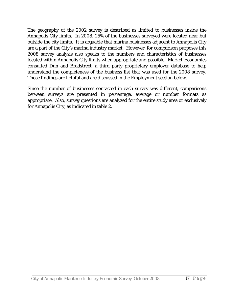The geography of the 2002 survey is described as limited to businesses inside the Annapolis City limits. In 2008, 25% of the businesses surveyed were located near but outside the city limits. It is arguable that marina businesses adjacent to Annapolis City are a part of the City's marina industry market. However, for comparison purposes this 2008 survey analysis also speaks to the numbers and characteristics of businesses located within Annapolis City limits when appropriate and possible. Market-Economics consulted Dun and Bradstreet, a third party proprietary employer database to help understand the completeness of the business list that was used for the 2008 survey. Those findings are helpful and are discussed in the Employment section below.

Since the number of businesses contacted in each survey was different, comparisons between surveys are presented in percentage, average or number formats as appropriate. Also, survey questions are analyzed for the entire study area or exclusively for Annapolis City, as indicated in table 2.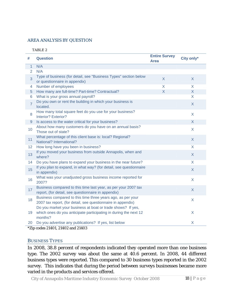### AREA ANALYSIS BY QUESTION

#### TABLE 2

| N/A<br>$\overline{1}$<br>$\overline{2}$<br>N/A<br>Type of business (for detail, see "Business Types" section below<br>$\overline{3}$<br>$\overline{X}$<br>X<br>or questionnaire in appendix)<br>Number of employees<br>X<br>X.<br>4<br>How many are full-time? Part-time? Contractual?<br>$\overline{X}$<br>$\mathsf{X}$<br>5<br>What is your gross annual payroll?<br>$\mathsf{X}$<br>6<br>Do you own or rent the building in which your business is<br>$\overline{7}$<br>$\mathsf{X}$<br>located.<br>How many total square feet do you use for your business?<br>8<br>X<br><b>Interior? Exterior?</b><br>Is access to the water critical for your business?<br>$\mathsf{X}$<br>$9$<br>About how many customers do you have on an annual basis?<br>10<br>$\mathsf{X}$<br>Those out of state?<br>What percentage of this client base is: local? Regional?<br>11<br>X<br>National? International?<br>How long have you been in business?<br>12<br>X.<br>If you moved your business from outside Annapolis, when and<br>13<br>X.<br>where?<br>Do you have plans to expand your business in the near future?<br>$\mathsf{X}$<br>14<br>If you plan to expand, in what way? (for detail, see questionnaire<br>15<br>$\mathsf{X}$<br>in appendix)<br>What was your unadjusted gross business income reported for<br>16<br>$\mathsf{X}$<br>2007?<br>Business compared to this time last year, as per your 2007 tax<br>17<br>$\mathsf{X}$<br>report, (for detail, see questionnaire in appendix)<br>Business compared to this time three years ago, as per your<br>18<br>X<br>2007 tax report, (for detail, see questionnaire in appendix)<br>Do you market your business at boat or trade shows? If yes, | #  | <b>Question</b>                                                  | <b>Entire Survey</b><br><b>Area</b> | City only* |
|---------------------------------------------------------------------------------------------------------------------------------------------------------------------------------------------------------------------------------------------------------------------------------------------------------------------------------------------------------------------------------------------------------------------------------------------------------------------------------------------------------------------------------------------------------------------------------------------------------------------------------------------------------------------------------------------------------------------------------------------------------------------------------------------------------------------------------------------------------------------------------------------------------------------------------------------------------------------------------------------------------------------------------------------------------------------------------------------------------------------------------------------------------------------------------------------------------------------------------------------------------------------------------------------------------------------------------------------------------------------------------------------------------------------------------------------------------------------------------------------------------------------------------------------------------------------------------------------------------------------------------------------------------------------------------------------------|----|------------------------------------------------------------------|-------------------------------------|------------|
|                                                                                                                                                                                                                                                                                                                                                                                                                                                                                                                                                                                                                                                                                                                                                                                                                                                                                                                                                                                                                                                                                                                                                                                                                                                                                                                                                                                                                                                                                                                                                                                                                                                                                                   |    |                                                                  |                                     |            |
|                                                                                                                                                                                                                                                                                                                                                                                                                                                                                                                                                                                                                                                                                                                                                                                                                                                                                                                                                                                                                                                                                                                                                                                                                                                                                                                                                                                                                                                                                                                                                                                                                                                                                                   |    |                                                                  |                                     |            |
|                                                                                                                                                                                                                                                                                                                                                                                                                                                                                                                                                                                                                                                                                                                                                                                                                                                                                                                                                                                                                                                                                                                                                                                                                                                                                                                                                                                                                                                                                                                                                                                                                                                                                                   |    |                                                                  |                                     |            |
|                                                                                                                                                                                                                                                                                                                                                                                                                                                                                                                                                                                                                                                                                                                                                                                                                                                                                                                                                                                                                                                                                                                                                                                                                                                                                                                                                                                                                                                                                                                                                                                                                                                                                                   |    |                                                                  |                                     |            |
|                                                                                                                                                                                                                                                                                                                                                                                                                                                                                                                                                                                                                                                                                                                                                                                                                                                                                                                                                                                                                                                                                                                                                                                                                                                                                                                                                                                                                                                                                                                                                                                                                                                                                                   |    |                                                                  |                                     |            |
|                                                                                                                                                                                                                                                                                                                                                                                                                                                                                                                                                                                                                                                                                                                                                                                                                                                                                                                                                                                                                                                                                                                                                                                                                                                                                                                                                                                                                                                                                                                                                                                                                                                                                                   |    |                                                                  |                                     |            |
|                                                                                                                                                                                                                                                                                                                                                                                                                                                                                                                                                                                                                                                                                                                                                                                                                                                                                                                                                                                                                                                                                                                                                                                                                                                                                                                                                                                                                                                                                                                                                                                                                                                                                                   |    |                                                                  |                                     |            |
|                                                                                                                                                                                                                                                                                                                                                                                                                                                                                                                                                                                                                                                                                                                                                                                                                                                                                                                                                                                                                                                                                                                                                                                                                                                                                                                                                                                                                                                                                                                                                                                                                                                                                                   |    |                                                                  |                                     |            |
|                                                                                                                                                                                                                                                                                                                                                                                                                                                                                                                                                                                                                                                                                                                                                                                                                                                                                                                                                                                                                                                                                                                                                                                                                                                                                                                                                                                                                                                                                                                                                                                                                                                                                                   |    |                                                                  |                                     |            |
|                                                                                                                                                                                                                                                                                                                                                                                                                                                                                                                                                                                                                                                                                                                                                                                                                                                                                                                                                                                                                                                                                                                                                                                                                                                                                                                                                                                                                                                                                                                                                                                                                                                                                                   |    |                                                                  |                                     |            |
|                                                                                                                                                                                                                                                                                                                                                                                                                                                                                                                                                                                                                                                                                                                                                                                                                                                                                                                                                                                                                                                                                                                                                                                                                                                                                                                                                                                                                                                                                                                                                                                                                                                                                                   |    |                                                                  |                                     |            |
|                                                                                                                                                                                                                                                                                                                                                                                                                                                                                                                                                                                                                                                                                                                                                                                                                                                                                                                                                                                                                                                                                                                                                                                                                                                                                                                                                                                                                                                                                                                                                                                                                                                                                                   |    |                                                                  |                                     |            |
|                                                                                                                                                                                                                                                                                                                                                                                                                                                                                                                                                                                                                                                                                                                                                                                                                                                                                                                                                                                                                                                                                                                                                                                                                                                                                                                                                                                                                                                                                                                                                                                                                                                                                                   |    |                                                                  |                                     |            |
|                                                                                                                                                                                                                                                                                                                                                                                                                                                                                                                                                                                                                                                                                                                                                                                                                                                                                                                                                                                                                                                                                                                                                                                                                                                                                                                                                                                                                                                                                                                                                                                                                                                                                                   |    |                                                                  |                                     |            |
|                                                                                                                                                                                                                                                                                                                                                                                                                                                                                                                                                                                                                                                                                                                                                                                                                                                                                                                                                                                                                                                                                                                                                                                                                                                                                                                                                                                                                                                                                                                                                                                                                                                                                                   |    |                                                                  |                                     |            |
|                                                                                                                                                                                                                                                                                                                                                                                                                                                                                                                                                                                                                                                                                                                                                                                                                                                                                                                                                                                                                                                                                                                                                                                                                                                                                                                                                                                                                                                                                                                                                                                                                                                                                                   |    |                                                                  |                                     |            |
|                                                                                                                                                                                                                                                                                                                                                                                                                                                                                                                                                                                                                                                                                                                                                                                                                                                                                                                                                                                                                                                                                                                                                                                                                                                                                                                                                                                                                                                                                                                                                                                                                                                                                                   |    |                                                                  |                                     |            |
|                                                                                                                                                                                                                                                                                                                                                                                                                                                                                                                                                                                                                                                                                                                                                                                                                                                                                                                                                                                                                                                                                                                                                                                                                                                                                                                                                                                                                                                                                                                                                                                                                                                                                                   |    |                                                                  |                                     |            |
| months?                                                                                                                                                                                                                                                                                                                                                                                                                                                                                                                                                                                                                                                                                                                                                                                                                                                                                                                                                                                                                                                                                                                                                                                                                                                                                                                                                                                                                                                                                                                                                                                                                                                                                           | 19 | which ones do you anticipate participating in during the next 12 |                                     | X          |
| Do you advertise any publications? If yes, list below<br>X<br>20                                                                                                                                                                                                                                                                                                                                                                                                                                                                                                                                                                                                                                                                                                                                                                                                                                                                                                                                                                                                                                                                                                                                                                                                                                                                                                                                                                                                                                                                                                                                                                                                                                  |    |                                                                  |                                     |            |

\*Zip codes 21401, 21402 and 21403

### BUSINESS TYPES

In 2008, 38.8 percent of respondents indicated they operated more than one business type. The 2002 survey was about the same at 40.6 percent. In 2008, 44 different business types were reported. This compared to 30 business types reported in the 2002 survey. This indicates that during the period between surveys businesses became more varied in the products and services offered.

City of Annapolis Maritime Industry Economic Survey October 2008 18 | Page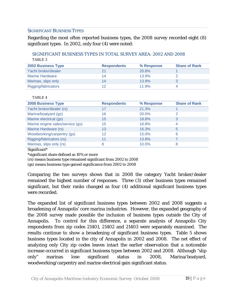### SIGNIFICANT BUSINESS TYPES

Regarding the most often reported business types, the 2008 survey recorded eight (8) significant types. In 2002, only four (4) were noted:

### SIGNIFICANT BUSINESS TYPES IN TOTAL SURVEY AREA: 2002 AND 2008 TABLE 3

| <b>2002 Business Type</b> | <b>Respondents</b> | % Response | <b>Share of Rank</b> |
|---------------------------|--------------------|------------|----------------------|
| Yacht broker/dealer       |                    | 20.8%      |                      |
| <b>Marine Hardware</b>    | 14                 | 13.9%      |                      |
| Marinas, slips only       | 14                 | 13.9%      |                      |
| Rigging/fabricators       | ィっ                 | 11.9%      |                      |

### TABLE 4

| <b>2008 Business Type</b>        | <b>Respondents</b> | % Response | <b>Share of Rank</b> |
|----------------------------------|--------------------|------------|----------------------|
| Yacht broker/dealer (rs)         | 17                 | 21.3%      |                      |
| Marina/boatyard (gs)             | 16                 | 20.0%      | $\overline{2}$       |
| Marine electrical (gs)           | 15                 | 18.8%      | 3                    |
| Marine engine sales/service (gs) | 15                 | 18.8%      | 4                    |
| Marine Hardware (rs)             | 13                 | 16.3%      | 5                    |
| Woodworking/carpentry (gs)       | $12 \overline{ }$  | 15.0%      | 6                    |
| Rigging/fabricators (rs)         | 11                 | 13.8%      |                      |
| Marinas, slips only (rs)         | 8                  | 10.0%      | 8                    |

Significant\*

\*significant share defined as 10% or more

(rs) means business type remained significant from 2002 to 2008

(gs) means business type gained significance from 2002 to 2008

Comparing the two surveys shows that in 2008 the category Yacht broker/dealer remained the highest number of responses. Three (3) other business types remained significant, but their ranks changed as four (4) additional significant business types were recorded.

The expanded list of significant business types between 2002 and 2008 suggests a broadening of Annapolis' core marina industries. However, the expanded geography of the 2008 survey made possible the inclusion of business types outside the City of Annapolis. To control for this difference, a separate analysis of Annapolis City respondents from zip codes 21401, 21402 and 21403 were separately examined. The results continue to show a broadening of significant business types. Table 5 shows business types located in the city of Annapolis in 2002 and 2008. The net effect of analyzing only City zip codes leaves intact the earlier observation that a noticeable increase occurred in significant business types between 2002 and 2008. Although "slip only" marinas lose significant status in 2008, Marina/boatyard, woodworking/carpentry and marine electrical gain significant status.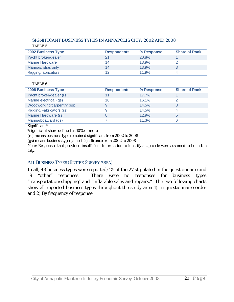### SIGNIFICANT BUSINESS TYPES IN ANNAPOLIS CITY: 2002 AND 2008 TABLE 5

| <b>2002 Business Type</b> | <b>Respondents</b> | % Response   | <b>Share of Rank</b> |
|---------------------------|--------------------|--------------|----------------------|
| Yacht broker/dealer       |                    | <b>20.8%</b> |                      |
| Marine Hardware           | 14                 | 13.9%        |                      |
| Marinas, slips only       | 14                 | 13.9%        |                      |
| Rigging/fabricators       | ィク                 | 11.9%        |                      |

#### TABLE 6

| <b>2008 Business Type</b>  | <b>Respondents</b> | % Response | <b>Share of Rank</b> |
|----------------------------|--------------------|------------|----------------------|
| Yacht broker/dealer (rs)   |                    | 17.7%      |                      |
| Marine electrical (gs)     | 10                 | 16.1%      |                      |
| Woodworking/carpentry (gs) |                    | 14.5%      |                      |
| Rigging/Fabricators (rs)   | 9                  | 14.5%      | 4                    |
| Marine Hardware (rs)       |                    | 12.9%      | 5                    |
| Marina/boatyard (gs)       |                    | 11.3%      |                      |

Significant\*

\*significant share defined as 10% or more

(rs) means business type remained significant from 2002 to 2008

(gs) means business type gained significance from 2002 to 2008

Note: Responses that provided insufficient information to identify a zip code were assumed to be in the City.

### ALL BUSINESS TYPES (ENTIRE SURVEY AREA)

In all, 43 business types were reported; 25 of the 27 stipulated in the questionnaire and 19 "other" responses. There were no responses for business types "transportation/shipping" and "inflatable sales and repairs." The two following charts show all reported business types throughout the study area 1) In questionnaire order and 2) By frequency of response.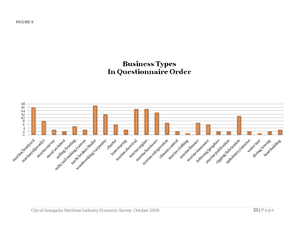# **Business Types In Questionnaire Order**

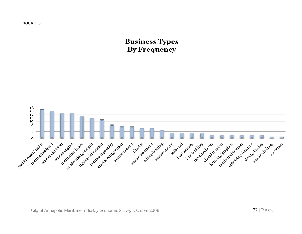# **Business Types By Frequency**

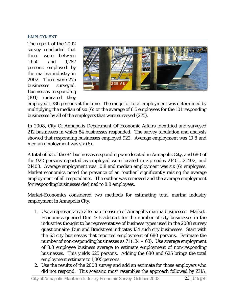### EMPLOYMENT

The report of the 2002 survey concluded that there were between 1,650 and 1,787 persons employed by the marina industry in 2002. There were 275 businesses surveyed. Businesses responding (101) indicated they



employed 1,386 persons at the time. The range for total employment was determined by multiplying the median of six (6) or the average of 6.5 employees for the 101 responding businesses by all of the employers that were surveyed (275).

In 2008, City Of Annapolis Department Of Economic Affairs identified and surveyed 212 businesses in which 84 businesses responded. The survey tabulation and analysis showed that responding businesses employed 922. Average employment was 10.8 and median employment was six (6).

A total of 63 of the 84 businesses responding were located in Annapolis City, and 680 of the 922 persons reported as employed were located in zip codes 21401, 21402, and 21403. Average employment was 10.8 and median employment was six (6) employees. Market economics noted the presence of an "outlier" significantly raising the average employment of all respondents. The outlier was removed and the average employment for responding businesses declined to 8.8 employees.

Market-Economics considered two methods for estimating total marina industry employment in Annapolis City.

- 1. Use a representative alternate measure of Annapolis marina businesses. Market-Economics queried Dun & Bradstreet for the number of city businesses in the industries thought to be representative of business types used in the 2008 survey questionnaire. Dun and Bradstreet indicates 134 such city businesses. Start with the 63 city businesses that reported employment of 680 persons. Estimate the number of non-responding businesses as 71 (134 – 63). Use average employment of 8.8 employee business average to estimate employment of non-responding businesses. This yields 625 persons. Adding the 680 and 625 brings the total employment estimate to 1,305 persons.
- 2. Use the results of the 2008 survey and add an estimate for those employers who did not respond. This scenario most resembles the approach followed by ZHA,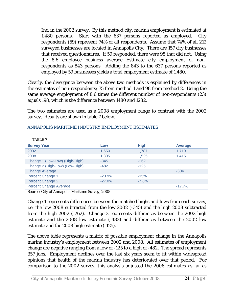Inc. in the 2002 survey. By this method city, marina employment is estimated at 1,480 persons. Start with the 637 persons reported as employed. City respondents (59) represent 74% of all respondents. Assume that 74% of all 212 surveyed businesses are located in Annapolis City. There are 157 city businesses that received questionnaires. If 59 responded, there were 98 that did not. Using the 8.6 employee business average Estimate city employment of nonrespondents as 843 persons. Adding the 843 to the 637 persons reported as employed by 59 businesses yields a total employment estimate of 1,480.

Clearly, the divergence between the above two methods is explained by differences in the estimates of non-respondents; 75 from method 1 and 98 from method 2. Using the same average employment of 8.6 times the different number of non-respondents (23) equals 198, which is the difference between 1480 and 1282.

The two estimates are used as a 2008 employment range to contrast with the 2002 survey. Results are shown in table 7 below.

| TABLE 7                        |          |             |                |
|--------------------------------|----------|-------------|----------------|
| <b>Survey Year</b>             | Low      | <b>High</b> | <b>Average</b> |
| 2002                           | 1,650    | 1,787       | 1,719          |
| 2008                           | 1,305    | 1,525       | 1.415          |
| Change 1 (Low-Low) (High-High) | $-345$   | $-262$      |                |
| Change 2 (High-Low) (Low-High) | $-482$   | $-125$      |                |
| <b>Change Average</b>          |          |             | $-304$         |
| <b>Percent Change 1</b>        | $-20.9%$ | $-15%$      |                |
| Percent Change 2               | $-27.0%$ | $-7.6%$     |                |
| <b>Percent Change Average</b>  |          |             | $-17.7%$       |

### ANNAPOLIS MARITIME INDUSTRY EMPLOYMENT ESTIMATES

Source: City of Annapolis Maritime Survey, 2008

Change 1 represents differences between the matched highs and lows from each survey, i.e. the low 2008 subtracted from the low 2002 (-345) and the high 2008 subtracted from the high 2002 (-262). Change 2 represents differences between the 2002 high estimate and the 2008 low estimate (-482) and differences between the 2002 low estimate and the 2008 high estimate (-125).

The above table represents a matrix of possible employment change in the Annapolis marina industry's employment between 2002 and 2008. All estimates of employment change are negative ranging from a low of -125 to a high of -482. The spread represents 357 jobs. Employment declines over the last six years seem to fit within widespread opinions that health of the marina industry has deteriorated over that period. For comparison to the 2002 survey, this analysis adjusted the 2008 estimates as far as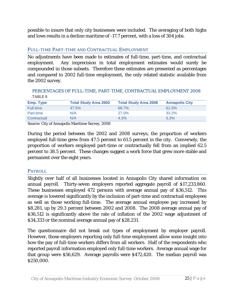possible to insure that only city businesses were included. The averaging of both highs and lows results in a decline maritime of -17.7 percent, with a loss of 304 jobs.

### FULL-TIME PART-TIME AND CONTRACTUAL EMPLOYMENT

No adjustments have been made to estimates of full-time, part-time, and contractual employment. Any imprecision in total employment estimates would surely be compounded in those subsets. Therefore these estimates are presented as percentages and compared to 2002 full-time employment, the only related statistic available from the 2002 survey.

### PERCENTAGES OF FULL-TIME, PART-TIME, CONTRACTUAL EMPLOYMENT 2008 TABLE 8

| <b>Emp. Type</b> | <b>Total Study Area 2002</b> | <b>Total Study Area 2008</b> | <b>Annapolis City</b> |
|------------------|------------------------------|------------------------------|-----------------------|
| Full-time        | 47.5%                        | 68.7%                        | 61.5%                 |
| Part-time        | N/A                          | 27.0%                        | 33.2%                 |
| Contractual      | N/A                          | 4.3%                         | 5.3%                  |

Source: City of Annapolis Maritime Survey, 2008

During the period between the 2002 and 2008 surveys, the proportion of workers employed full-time grew from 47.5 percent to 61.5 percent in the city. Conversely, the proportion of workers employed part-time or contractually fell from an implied 62.5 percent to 38.5 percent. These changes suggest a work force that grew more stable and permanent over the eight years.

### PAYROLL

Slightly over half of all businesses located in Annapolis City shared information on annual payroll. Thirty-seven employers reported aggregate payroll of \$17,233,860. These businesses employed 472 persons with average annual pay of \$36,512. This average is lowered significantly by the inclusion of part-time and contractual employees as well as those working full-time. The average annual employee pay increased by \$8,281, up by 29.3 percent between 2002 and 2008. The 2008 average annual pay of \$36,512 is significantly above the rate of inflation of the 2002 wage adjustment of \$34,333 or the nominal average annual pay of \$28,231.

The questionnaire did not break out types of employment by employer payroll. However, those employers reporting only full-time employment allow some insight into how the pay of full-time workers differs from all workers. Half of the respondents who reported payroll information employed only full-time workers. Average annual wage for that group were \$56,629. Average payrolls were \$472,420. The median payroll was \$250,000.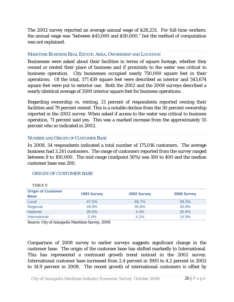The 2002 survey reported an average annual wage of \$28,231. For full-time workers, the annual wage was "between \$45,000 and \$50,000," but the method of computation was not explained.

### MARITIME BUSINESS REAL ESTATE: AREA, OWNERSHIP AND LOCATION

Businesses were asked about their facilities in terms of square footage, whether they owned or rented their place of business and if proximity to the water was critical to business operation. City businesses occupied nearly 750,000 square feet in their operations. Of the total, 177,459 square feet were described as interior and 543,674 square feet were put to exterior use. Both the 2002 and the 2008 surveys described a nearly identical average of 3500 interior square feet for business operations.

Regarding ownership vs. renting, 21 percent of respondents reported owning their facilities and 79 percent rented. This is a notable decline from the 30 percent ownership reported in the 2002 survey. When asked if access to the water was critical to business operation, 71 percent said yes. This was a marked increase from the approximately 55 percent who so indicated in 2002.

### NUMBER AND ORIGIN OF CUSTOMER BASE

In 2008, 54 respondents indicated a total number of 175,016 customers. The average business had 3,241 customers. The range of customers reported from the survey ranged between 8 to 100,000. The mid-range (midpoint 50%) was 100 to 400 and the median customer base was 200.

### ORIGIN OF CUSTOMER BASE

| TABLE 9                                  |             |             |             |
|------------------------------------------|-------------|-------------|-------------|
| <b>Origin of Customer</b><br><b>Base</b> | 1993 Survey | 2002 Survey | 2008 Survey |
| Local                                    | 47.5%       | 68.7%       | 28.3%       |
| Regional                                 | 28.0%       | 35.8%       | 30.9%       |
| <b>National</b>                          | 35.5%       | 4.3%        | 25.9%       |
| International                            | $2.4\%$     | 4.2%        | 14.9%       |

Source: City of Annapolis Maritime Survey, 2008

Comparison of 2008 survey to earlier surveys suggests significant change in the customer base. The origin of the customer base has shifted markedly to International. This has represented a continued growth trend noticed in the 2002 survey. International customer base increased from 2.4 percent in 1993 to 4.2 percent in 2002 to 14.9 percent in 2008. The recent growth of international customers is offset by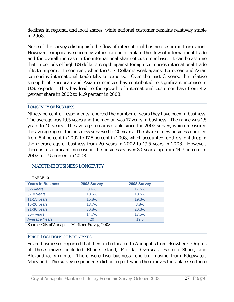declines in regional and local shares, while national customer remains relatively stable in 2008.

None of the surveys distinguish the flow of international business as import or export. However, comparative currency values can help explain the flow of international trade and the overall increase in the international share of customer base. It can be assume that in periods of high US dollar strength against foreign currencies international trade tilts to imports. In contrast, when the U.S. Dollar is weak against European and Asian currencies international trade tilts to exports. Over the past 3 years, the relative strength of European and Asian currencies has contributed to significant increase in U.S. exports. This has lead to the growth of international customer base from 4.2 percent share in 2002 to 14.9 percent in 2008.

### LONGEVITY OF BUSINESS

Ninety percent of respondents reported the number of years they have been in business. The average was 19.5 years and the median was 17 years in business. The range was 1.5 years to 40 years. The average remains stable since the 2002 survey, which measured the average age of the business surveyed to 20 years. The share of new business doubled from 8.4 percent in 2002 to 17.5 percent in 2008, which accounted for the slight drop in the average age of business from 20 years in 2002 to 19.5 years in 2008. However, there is a significant increase in the businesses over 30 years, up from 14.7 percent in 2002 to 17.5 percent in 2008.

### MARITIME BUSINESS LONGEVITY

| 2002 Survey | 2008 Survey |
|-------------|-------------|
| 8.4%        | 17.5%       |
| 10.5%       | 10.5%       |
| 15.8%       | 19.3%       |
| 13.7%       | 8.8%        |
| 36.8%       | 26.3%       |
| 14.7%       | 17.5%       |
| 20          | 19.5        |
|             |             |

### $TAPIT 10$

Source: City of Annapolis Maritime Survey, 2008

### PRIOR LOCATIONS OF BUSINESSES

Seven businesses reported that they had relocated to Annapolis from elsewhere. Origins of these moves included Rhode Island, Florida, Overseas, Eastern Shore, and Alexandria, Virginia. There were two business reported moving from Edgewater, Maryland. The survey respondents did not report when their moves took place, so there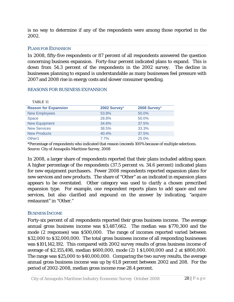is no way to determine if any of the respondents were among those reported in the 2002.

### PLANS FOR EXPANSION

In 2008, fifty-five respondents or 87 percent of all respondents answered the question concerning business expansion. Forty-four percent indicated plans to expand. This is down from 54.3 percent of the respondents in the 2002 survey. The decline in businesses planning to expand is understandable as many businesses feel pressure with 2007 and 2008 rise in energy costs and slower consumer spending.

### REASONS FOR BUSINESS EXPANSION

| TABLE <sub>11</sub>         |              |              |
|-----------------------------|--------------|--------------|
| <b>Reason for Expansion</b> | 2002 Survey* | 2008 Survey* |
| <b>New Employees</b>        | 53.8%        | 50.0%        |
| <b>Space</b>                | 28.8%        | 50.0%        |
| <b>New Equipment</b>        | 34.6%        | 37.5%        |
| <b>New Services</b>         | 38.5%        | 33.3%        |
| <b>New Products</b>         | 40.4%        | 37.5%        |
| Other <sub>1</sub>          | 7.7%         | 25.0%        |

\*Percentage of respondents who indicated that reason (exceeds 100% because of multiple selections. Source: City of Annapolis Maritime Survey, 2008

In 2008, a larger share of respondents reported that their plans included adding space. A higher percentage of the respondents (37.5 percent vs. 34.6 percent) indicated plans for new equipment purchasers. Fewer 2008 respondents reported expansion plans for new services and new products. The share of "Other" as an indicated in expansion plans appears to be overstated. Other category was used to clarify a chosen prescribed expansion type. For example, one respondent reports plans to add space and new services, but also clarified and expound on the answer by indicating, "acquire restaurant" in "Other."

### BUSINESS INCOME

Forty-six percent of all respondents reported their gross business income. The average annual gross business income was \$3,487,662. The median was \$770,300 and the mode (2 responses) was \$500,000. The range of incomes reported varied between \$32,000 to \$32,000,000. The total gross business income of all responding businesses was \$101,142,192. This compared with 2002 survey results of gross business income of average of \$2,155,498, median \$600,000, mode (2) 1 \$1,000,000 and 2 at \$800,000. The range was \$25,000 to \$40,000,000. Comparing the two survey results, the average annual gross business income was up by 61.8 percent between 2002 and 208. For the period of 2002-2008, median gross income rose 28.4 percent.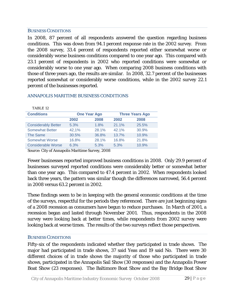### BUSINESS CONDITIONS

TABLE 12

In 2008, 87 percent of all respondents answered the question regarding business conditions. This was down from 94.1 percent response rate in the 2002 survey. From the 2008 survey, 33.4 percent of respondents reported either somewhat worse or considerably worse business conditions compared to one year ago. This compared with 23.1 percent of respondents in 2002 who reported conditions were somewhat or considerably worse to one year ago. When comparing 2008 business conditions with those of three years ago, the results are similar. In 2008, 32.7 percent of the businesses reported somewhat or considerably worse conditions, while in the 2002 survey 22.1 percent of the businesses reported.

| <b>Conditions</b>          | <b>One Year Ago</b> |       | <b>Three Years Ago</b> |       |  |
|----------------------------|---------------------|-------|------------------------|-------|--|
|                            | 2002                | 2008  | 2002                   | 2008  |  |
| <b>Considerably Better</b> | 5.3%                | 1.8%  | 21.1%                  | 25.5% |  |
| <b>Somewhat Better</b>     | 42,1%               | 28.1% | 42.1%                  | 30.9% |  |
| The Same                   | 30.5%               | 36.8% | 13.7%                  | 10.9% |  |
| <b>Somewhat Worse</b>      | 16.8%               | 28.1% | 16.8%                  | 21.8% |  |
| <b>Considerable Worse</b>  | 6.3%                | 5.3%  | 5.3%                   | 10.9% |  |
|                            |                     |       |                        |       |  |

### ANNAPOLIS MARITIME BUSINESS CONDITIONS

Source: City of Annapolis Maritime Survey, 2008

Fewer businesses reported improved business conditions in 2008. Only 29.9 percent of businesses surveyed reported conditions were considerably better or somewhat better than one year ago. This compared to 47.4 percent in 2002. When respondents looked back three years, the pattern was similar though the differences narrowed, 56.4 percent in 2008 versus 63.2 percent in 2002.

These findings seem to be in keeping with the general economic conditions at the time of the surveys, respectful for the periods they referenced. There are just beginning signs of a 2008 recession as consumers have begun to reduce purchases. In March of 2001, a recession began and lasted through November 2001. Thus, respondents in the 2008 survey were looking back at better times, while respondents from 2002 survey were looking back at worse times. The results of the two surveys reflect those perspectives.

### BUSINESS CONDITIONS

Fifty-six of the respondents indicated whether they participated in trade shows. The major had participated in trade shows, 37 said Yeas and 19 said No. There were 30 different choices of in trade shows the majority of those who participated in trade shows, participated in the Annapolis Sail Show (30 responses) and the Annapolis Power Boat Show (23 responses). The Baltimore Boat Show and the Bay Bridge Boat Show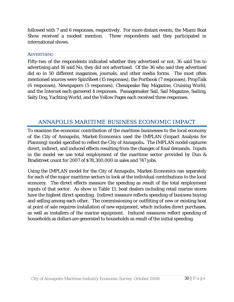followed with 7 and 6 responses, respectively. For more distant events, the Miami Boat Show received a modest mention. Three respondents said they participated in international shows.

### **ADVERTISING**

Fifty-two of the respondents indicated whether they advertised or not, 36 said Yes to advertising and 16 said No, they did not advertised. Of the 36 who said they advertised did so in 50 different magazines, journals, and other media forms. The most often mentioned sources were SpinSheet (15 responses), the Portbook (7 responses), PropTalk (6 responses), Newspapers (5 responses), Chesapeake Bay Magazine, Cruising World, and the Internet each garnered 4 responses. Passagemaker Sail, Sail Magazine, Sailing, Salty Dog, Yachting World, and the Yellow Pages each received three responses.

# ANNAPOLIS MARITIME BUSINESS ECONOMIC IMPACT

To examine the economic contribution of the maritime businesses to the local economy of the City of Annapolis, Market-Economics used the IMPLAN (Impact Analysis for Planning) model specified to reflect the City of Annapolis**.** The IMPLAN model captures direct, indirect, and induced effects resulting from the changes of final demands. Inputs in the model we use total employment of the maritime sector provided by Dun & Bradstreet count for 2007 of \$78,300,000 in sales and 747 jobs.

Using the IMPLAN model for the City of Annapolis, Market-Economics ran separately for each of the major maritime sectors to look at the individual contributions to the local economy. The direct effects measure the spending as result of the total employment inputs of that sector. As show in Table 13, boat dealers including retail marine stores have the highest direct spending. Indirect measure reflects spending of business buying and selling among each other. The commissioning or outfitting of new or existing boat at point of sale requires installation of new equipment, which includes direct purchases, as well as installers of the marine equipment. Induced measures reflect spending of households as dollars are generated to households as result of the initial spending.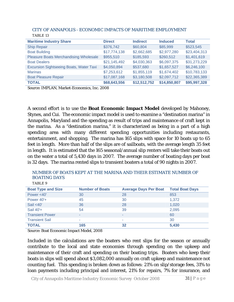| <b>Maritime Industry Share</b>                 | <b>Direct</b> | <b>Indirect</b> | <b>Induced</b> | <b>Total</b> |
|------------------------------------------------|---------------|-----------------|----------------|--------------|
| <b>Ship Repair</b>                             | \$376,742     | \$60,804        | \$85,999       | \$523,545    |
| <b>Boat Building</b>                           | \$17,774,138  | \$2,662,685     | \$2,977,280    | \$23,404,313 |
| <b>Pleasure Boats Merchandising Wholesale</b>  | \$955,510     | \$185,593       | \$260,512      | \$1,401,619  |
| <b>Boat Dealers</b>                            | \$21,145,492  | \$4,030,363     | \$6,097,375    | \$31,273,229 |
| <b>Excursion Sightseeing Boats, Water Taxi</b> | \$4,050,894   | \$537,680       | \$1,657,527    | \$6,246,100  |
| <b>Marinas</b>                                 | \$7,253,612   | \$1,855,119     | \$1,674,402    | \$10,783,133 |
| <b>Boat Pleasure Repair</b>                    | \$17,087,168  | \$3,180,508     | \$2,097,712    | \$22,365,389 |
| <b>TOTAL</b>                                   | \$68,643,556  | \$12,512,752    | \$14,850,807   | \$95,997,328 |

CITY OF ANNAPOLIS - ECONOMIC IMPACTS OF MARITIME EMPLOYMENT TABLE 13

Source: IMPLAN, Market-Economics, Inc. 2008

A second effort is to use the **Boat Economic Impact Model** developed by Mahoney, Stynes, and Cui. The economic impact model is used to examine a "destination marina" in Annapolis, Maryland and the spending as result of trips and maintenance of craft kept in the marina. As a "destination marina," it is characterized as being in a part of a high spending area with many different spending opportunities including restaurants, entertainment, and shopping. The marina has 165 slips with space for 10 boats up to 65 feet in length. More than half of the slips are of sailboats, with the average length 35 feet in length. It is estimated that the 165 seasonal/annual slip renters will take their boats out on the water a total of 5,430 days in 2007. The average number of boating days per boat is 32 days. The marina rented slips to transient boaters a total of 90 nights in 2007.

#### NUMBER OF BOATS KEPT AT THE MARINA AND THEIR ESTIMATE NUMBER OF BOATING DAYS TABLE 9

| <b>Boat Type and Size</b> | <b>Number of Boats</b> | <b>Average Days Per Boat</b> | <b>Total Boat Days</b> |
|---------------------------|------------------------|------------------------------|------------------------|
| Power <40'                | 30                     | 28                           | 853                    |
| Power $40'+$              | 45                     | 30                           | 1,372                  |
| Sail $<$ 40'              | 36                     | 28                           | 1,020                  |
| Sail 40'+                 | 54                     | 39                           | 2,095                  |
| <b>Transient Power</b>    |                        | $\sim$                       | 60                     |
| <b>Transient Sail</b>     |                        | ۰                            | 30                     |
| <b>TOTAL</b>              | 165                    | 32                           | 5,430                  |
|                           |                        |                              |                        |

Source: Boat Economic Impact Model, 2008

Included in the calculations are the boaters who rent slips for the season or annually contribute to the local and state economies through spending on the upkeep and maintenance of their craft and spending on their boating trips. Boaters who keep their boats in slips will spend about \$3,082,000 annually on craft upkeep and maintenance not counting fuel. This spending is broken down as follows: 21% on slip/storage fees, 31% to loan payments including principal and interest, 21% for repairs, 7% for insurance, and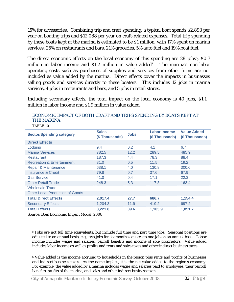15% for accessories. Combining trip and craft spending, a typical boat spends \$2,893 per year on boating trips and \$12,088 per year on craft-related expenses. Total trip spending by these boats kept at the marina is estimated to be \$1 million, with 17% spent on marina services, 25% on restaurants and bars, 21% groceries, 5% auto fuel and 19% boat fuel.

The direct economic effects on the local economy of this spending are 28 jobs<sup>5</sup>, \$0.7 million in labor income and \$1.2 million in value added<sup>6</sup>. The marina's non-labor operating costs such as purchases of supplies and services from other firms are not included as value added by the marina. Direct effects cover the impacts in businesses selling goods and services directly to these boaters. This includes 12 jobs in marina services, 4 jobs in restaurants and bars, and 5 jobs in retail stores.

Including secondary effects, the total impact on the local economy is 40 jobs, \$1.1 million in labor income and \$1.9 million in value added.

| TABLE 10                               |                               |             |                                      |                                     |
|----------------------------------------|-------------------------------|-------------|--------------------------------------|-------------------------------------|
| <b>Sector/Spending category</b>        | <b>Sales</b><br>(\$Thousands) | <b>Jobs</b> | <b>Labor Income</b><br>(\$Thousands) | <b>Value Added</b><br>(\$Thousands) |
| <b>Direct Effects</b>                  |                               |             |                                      |                                     |
| Lodging                                | 9.4                           | 0.2         | 4.1                                  | 6.7                                 |
| <b>Marina Services</b>                 | 782.5                         | 12.2        | 289.5                                | 485.9                               |
| <b>Restaurant</b>                      | 187.3                         | 4.4         | 78.3                                 | 88.4                                |
| <b>Recreation &amp; Entertainment</b>  | 31.0                          | 0.5         | 11.5                                 | 19.2                                |
| Repair & Maintenance                   | 638.1                         | 4.0         | 130.8                                | 300.6                               |
| <b>Insurance &amp; Credit</b>          | 79.8                          | 0.7         | 37.6                                 | 67.9                                |
| <b>Gas Service</b>                     | 41.0                          | 0.4         | 17.1                                 | 22.3                                |
| <b>Other Retail Trade</b>              | 248.3                         | 5.3         | 117.8                                | 163.4                               |
| <b>Wholesale Trade</b>                 | ٠                             | ٠           | ٠                                    | ٠                                   |
| <b>Other Local Production of Goods</b> | ٠                             | ٠           | ٠                                    | ٠                                   |
| <b>Total Direct Effects</b>            | 2,017.4                       | 27.7        | 686.7                                | 1,154.4                             |
| <b>Secondary Effects</b>               | 1,204.3                       | 11.9        | 419.2                                | 697.2                               |
| <b>Total Effects</b>                   | 3,221.8                       | 39.6        | 1,105.9                              | 1,851.7                             |
|                                        |                               |             |                                      |                                     |

#### ECONOMIC IMPACT OF BOTH CRAFT AND TRIPS SPENDING BY BOATS KEPT AT THE MARINA  $-555 - 10$

Source: Boat Economic Impact Model, 2008

 $\overline{a}$ 

<sup>5</sup> Jobs are not full time equivalents, but include full time and part time jobs. Seasonal positions are adjusted to an annual basis, e.g., two jobs for six months equates to one job on an annual basis. Labor income includes wages and salaries, payroll benefits and income of sole proprietors. Value added includes labor income as well as profits and rents and sales taxes and other indirect business taxes.

<sup>6</sup> Value added is the income accruing to households in the region plus rents and profits of businesses and indirect business taxes. As the name implies, it is the net value added to the region's economy. For example, the value added by a marina includes wages and salaries paid to employees, their payroll benefits, profits of the marina, and sales and other indirect business taxes.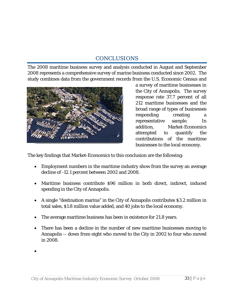# CONCLUSIONS

The 2008 maritime business survey and analysis conducted in August and September 2008 represents a comprehensive survey of marine business conducted since 2002. The study combines data from the government records from the U.S. Economic Census and



a survey of maritime businesses in the City of Annapolis. The survey response rate 37.7 percent of all 212 maritime businesses and the broad range of types of businesses responding creating a representative sample. In addition, Market-Economics attempted to quantify the contributions of the maritime businesses to the local economy.

The key findings that Market-Economics to this conclusion are the following:

- Employment numbers in the maritime industry show from the survey an average decline of -12.1 percent between 2002 and 2008.
- Maritime business contribute \$96 million in both direct, indirect, induced spending in the City of Annapolis.
- A single "destination marina" in the City of Annapolis contributes \$3.2 million in total sales, \$1.8 million value added, and 40 jobs to the local economy.
- The average maritime business has been in existence for 21.8 years.
- There has been a decline in the number of new maritime businesses moving to Annapolis -- down from eight who moved to the City in 2002 to four who moved in 2008.

•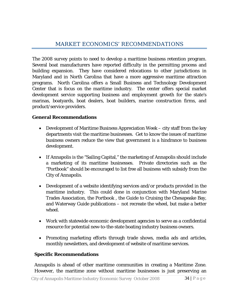The 2008 survey points to need to develop a maritime business retention program. Several boat manufacturers have reported difficulty in the permitting process and building expansion. They have considered relocations to other jurisdictions in Maryland and in North Carolina that have a more aggressive maritime attraction programs. North Carolina offers a Small Business and Technology Development Center that is focus on the maritime industry. The center offers special market development service supporting business and employment growth for the state's marinas, boatyards, boat dealers, boat builders, marine construction firms, and product/service providers.

# **General Recommendations**

- Development of Maritime Business Appreciation Week city staff from the key departments visit the maritime businesses. Get to know the issues of maritime business owners reduce the view that government is a hindrance to business development.
- If Annapolis is the "Sailing Capital," the marketing of Annapolis should include a marketing of its maritime businesses. Private directories such as the "Portbook" should be encouraged to list free all business with subsidy from the City of Annapolis.
- Development of a website identifying services and/or products provided in the maritime industry. This could done in conjunction with Maryland Marine Trades Association, the Portbook , the Guide to Cruising the Chesapeake Bay, and Waterway Guide publications – not recreate the wheel, but make a better wheel.
- Work with statewide economic development agencies to serve as a confidential resource for potential new-to-the-state boating industry business owners.
- Promoting marketing efforts through trade shows, media ads and articles, monthly newsletters, and development of website of maritime services.

# **Specific Recommendations**

Annapolis is ahead of other maritime communities in creating a Maritime Zone. However, the maritime zone without maritime businesses is just preserving an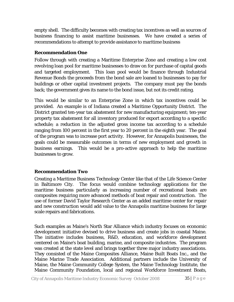empty shell. The difficulty becomes with creating tax incentives as well as sources of business financing to assist maritime businesses. We have created a series of recommendations to attempt to provide assistance to maritime business

### **Recommendation One**

Follow through with creating a Maritime Enterprise Zone and creating a low cost revolving loan pool for maritime businesses to draw on for purchase of capital goods and targeted employment. This loan pool would be finance through Industrial Revenue Bonds the proceeds from the bond sale are loaned to businesses to pay for buildings or other capital investment projects. The company must pay the bonds back; the government gives its name to the bond issue, but not its credit rating.

This would be similar to an Enterprise Zone in which tax incentives could be provided. An example is of Indiana created a Maritime Opportunity District. The District granted ten-year tax abatement for new manufacturing equipment; ten-year property tax abatement for all inventory produced for export according to a specific schedule; a reduction in the adjusted gross income tax according to a schedule ranging from 100 percent in the first year to 20 percent in the eighth year. The goal of the program was to increase port activity. However, for Annapolis businesses, the goals could be measurable outcomes in terms of new employment and growth in business earnings. This would be a pro-active approach to help the maritime businesses to grow.

### **Recommendation Two**

Creating a Maritime Business Technology Center like that of the Life Science Center in Baltimore City. The focus would combine technology applications for the maritime business particularly as increasing number of recreational boats are composites requiring more advanced methods of boat repair and construction. The use of former David Taylor Research Center as an added maritime center for repair and new construction would add value to the Annapolis maritime business for large scale repairs and fabrications.

Such examples as Maine's North Star Alliance which industry focuses on economic development initiative devised to drive business and create jobs in coastal Maine. The initiative includes business, R&D, education, and workforce development centered on Maine's boat building, marine, and composite industries. The program was created at the state level and brings together three major industry associations. They consisted of the Maine Composites Alliance, Maine Built Boats Inc., and the Maine Marine Trade Association. Additional partners include the University of Maine, the Maine Community College System, the Maine Technology Institute, the Maine Community Foundation, local and regional Workforce Investment Boats,